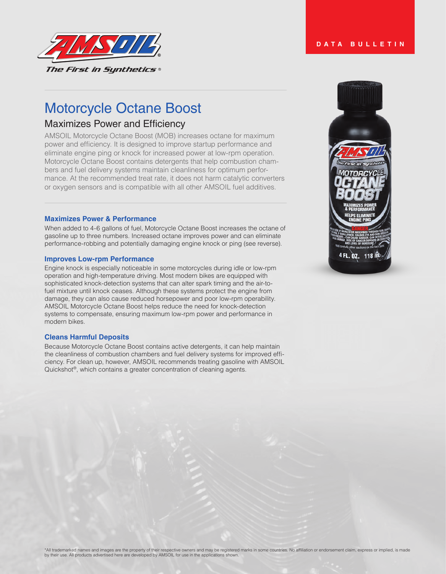

# Motorcycle Octane Boost

# Maximizes Power and Efficiency

AMSOIL Motorcycle Octane Boost (MOB) increases octane for maximum power and efficiency. It is designed to improve startup performance and eliminate engine ping or knock for increased power at low-rpm operation. Motorcycle Octane Boost contains detergents that help combustion chambers and fuel delivery systems maintain cleanliness for optimum performance. At the recommended treat rate, it does not harm catalytic converters or oxygen sensors and is compatible with all other AMSOIL fuel additives.

#### **Maximizes Power & Performance**

When added to 4-6 gallons of fuel, Motorcycle Octane Boost increases the octane of gasoline up to three numbers. Increased octane improves power and can eliminate performance-robbing and potentially damaging engine knock or ping (see reverse).

#### **Improves Low-rpm Performance**

Engine knock is especially noticeable in some motorcycles during idle or low-rpm operation and high-temperature driving. Most modern bikes are equipped with sophisticated knock-detection systems that can alter spark timing and the air-tofuel mixture until knock ceases. Although these systems protect the engine from damage, they can also cause reduced horsepower and poor low-rpm operability. AMSOIL Motorcycle Octane Boost helps reduce the need for knock-detection systems to compensate, ensuring maximum low-rpm power and performance in modern bikes.

#### **Cleans Harmful Deposits**

Because Motorcycle Octane Boost contains active detergents, it can help maintain the cleanliness of combustion chambers and fuel delivery systems for improved efficiency. For clean up, however, AMSOIL recommends treating gasoline with AMSOIL Quickshot®, which contains a greater concentration of cleaning agents.



# **DATA BULLETIN**